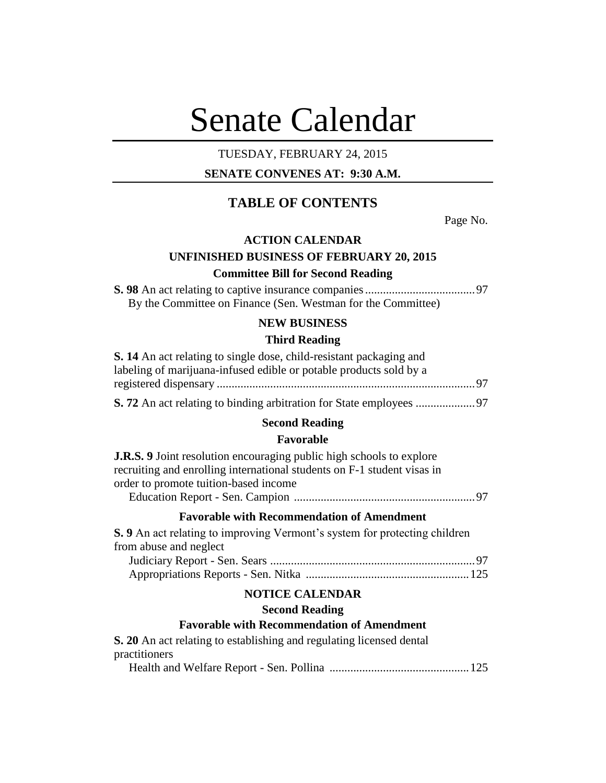# Senate Calendar

# TUESDAY, FEBRUARY 24, 2015

# **SENATE CONVENES AT: 9:30 A.M.**

# **TABLE OF CONTENTS**

Page No.

# **ACTION CALENDAR**

# **UNFINISHED BUSINESS OF FEBRUARY 20, 2015 Committee Bill for Second Reading**

**S. 98** An act relating to captive insurance companies.....................................97 By the Committee on Finance (Sen. Westman for the Committee)

# **NEW BUSINESS**

# **Third Reading**

| <b>S. 14</b> An act relating to single dose, child-resistant packaging and<br>labeling of marijuana-infused edible or potable products sold by a                                                |
|-------------------------------------------------------------------------------------------------------------------------------------------------------------------------------------------------|
|                                                                                                                                                                                                 |
|                                                                                                                                                                                                 |
| <b>Second Reading</b>                                                                                                                                                                           |
| <b>Favorable</b>                                                                                                                                                                                |
| <b>J.R.S.</b> 9 Joint resolution encouraging public high schools to explore<br>recruiting and enrolling international students on F-1 student visas in<br>order to promote tuition-based income |
| <b>Favorable with Recommendation of Amendment</b>                                                                                                                                               |
| <b>S.</b> 9 An act relating to improving Vermont's system for protecting children<br>from abuse and neglect                                                                                     |
|                                                                                                                                                                                                 |
| <b>NOTICE CALENDAR</b>                                                                                                                                                                          |
| <b>Second Reading</b>                                                                                                                                                                           |
| <b>Favorable with Recommendation of Amendment</b>                                                                                                                                               |
| <b>S. 20</b> An act relating to establishing and regulating licensed dental<br>practitioners                                                                                                    |
| $1111110$ $R_1$ $R_2$ $R_3$ $R_4$ $R_5$ $R_6$                                                                                                                                                   |

Health and Welfare Report - Sen. Pollina ...............................................125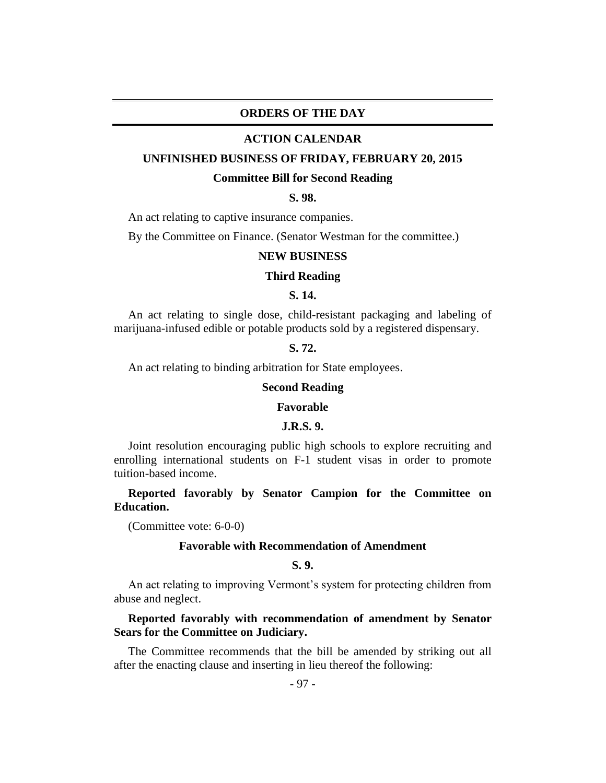# **ORDERS OF THE DAY**

### **ACTION CALENDAR**

#### **UNFINISHED BUSINESS OF FRIDAY, FEBRUARY 20, 2015**

### **Committee Bill for Second Reading**

# **S. 98.**

An act relating to captive insurance companies.

By the Committee on Finance. (Senator Westman for the committee.)

#### **NEW BUSINESS**

# **Third Reading**

## **S. 14.**

An act relating to single dose, child-resistant packaging and labeling of marijuana-infused edible or potable products sold by a registered dispensary.

# **S. 72.**

An act relating to binding arbitration for State employees.

#### **Second Reading**

#### **Favorable**

## **J.R.S. 9.**

Joint resolution encouraging public high schools to explore recruiting and enrolling international students on F-1 student visas in order to promote tuition-based income.

**Reported favorably by Senator Campion for the Committee on Education.**

(Committee vote: 6-0-0)

## **Favorable with Recommendation of Amendment**

# **S. 9.**

An act relating to improving Vermont's system for protecting children from abuse and neglect.

**Reported favorably with recommendation of amendment by Senator Sears for the Committee on Judiciary.**

The Committee recommends that the bill be amended by striking out all after the enacting clause and inserting in lieu thereof the following: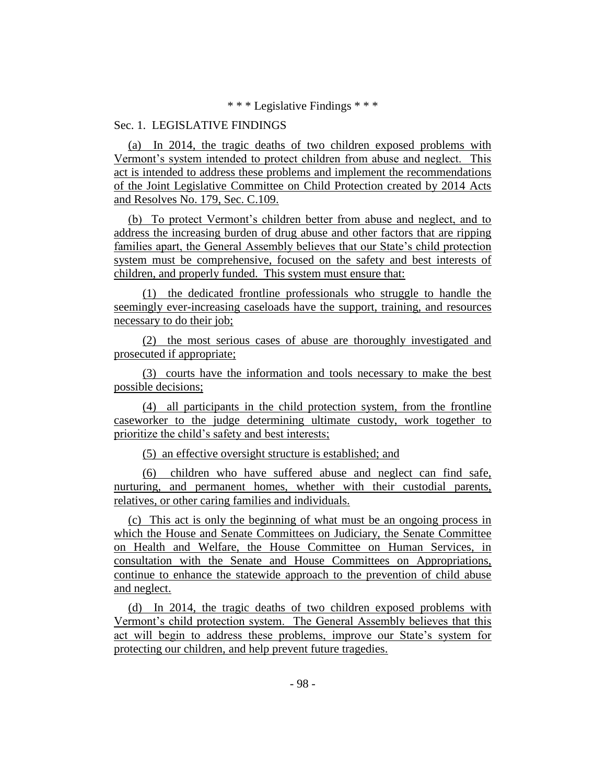\* \* \* Legislative Findings \* \* \*

# Sec. 1. LEGISLATIVE FINDINGS

(a) In 2014, the tragic deaths of two children exposed problems with Vermont's system intended to protect children from abuse and neglect. This act is intended to address these problems and implement the recommendations of the Joint Legislative Committee on Child Protection created by 2014 Acts and Resolves No. 179, Sec. C.109.

(b) To protect Vermont's children better from abuse and neglect, and to address the increasing burden of drug abuse and other factors that are ripping families apart, the General Assembly believes that our State's child protection system must be comprehensive, focused on the safety and best interests of children, and properly funded. This system must ensure that:

(1) the dedicated frontline professionals who struggle to handle the seemingly ever-increasing caseloads have the support, training, and resources necessary to do their job;

(2) the most serious cases of abuse are thoroughly investigated and prosecuted if appropriate;

(3) courts have the information and tools necessary to make the best possible decisions;

(4) all participants in the child protection system, from the frontline caseworker to the judge determining ultimate custody, work together to prioritize the child's safety and best interests;

(5) an effective oversight structure is established; and

(6) children who have suffered abuse and neglect can find safe, nurturing, and permanent homes, whether with their custodial parents, relatives, or other caring families and individuals.

(c) This act is only the beginning of what must be an ongoing process in which the House and Senate Committees on Judiciary, the Senate Committee on Health and Welfare, the House Committee on Human Services, in consultation with the Senate and House Committees on Appropriations, continue to enhance the statewide approach to the prevention of child abuse and neglect.

(d) In 2014, the tragic deaths of two children exposed problems with Vermont's child protection system. The General Assembly believes that this act will begin to address these problems, improve our State's system for protecting our children, and help prevent future tragedies.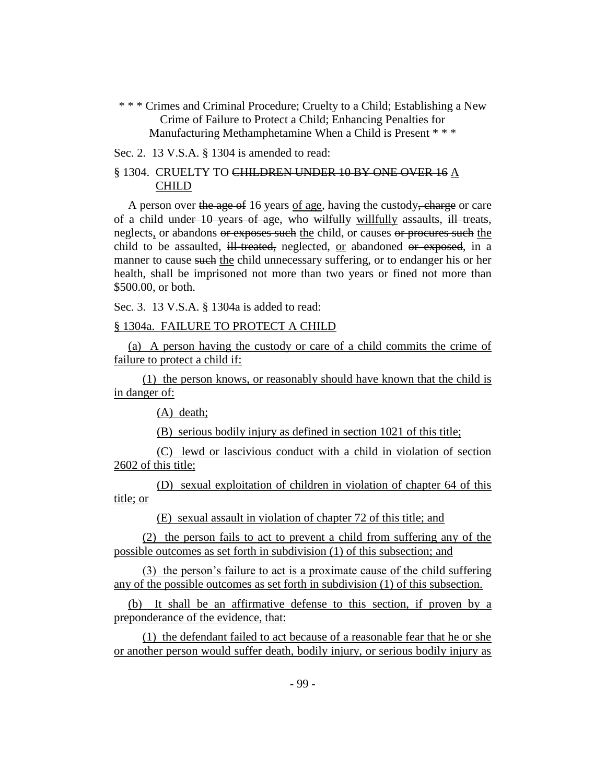\* \* \* Crimes and Criminal Procedure; Cruelty to a Child; Establishing a New Crime of Failure to Protect a Child; Enhancing Penalties for Manufacturing Methamphetamine When a Child is Present \* \* \*

Sec. 2. 13 V.S.A. § 1304 is amended to read:

# § 1304. CRUELTY TO CHILDREN UNDER 10 BY ONE OVER 16 A CHILD

A person over the age of 16 years of age, having the custody, charge or care of a child under 10 years of age, who wilfully willfully assaults, ill treats, neglects, or abandons or exposes such the child, or causes or procures such the child to be assaulted, ill-treated, neglected, or abandoned or exposed, in a manner to cause such the child unnecessary suffering, or to endanger his or her health, shall be imprisoned not more than two years or fined not more than \$500.00, or both.

Sec. 3. 13 V.S.A. § 1304a is added to read:

# § 1304a. FAILURE TO PROTECT A CHILD

(a) A person having the custody or care of a child commits the crime of failure to protect a child if:

(1) the person knows, or reasonably should have known that the child is in danger of:

(A) death;

(B) serious bodily injury as defined in section 1021 of this title;

(C) lewd or lascivious conduct with a child in violation of section 2602 of this title;

(D) sexual exploitation of children in violation of chapter 64 of this title; or

(E) sexual assault in violation of chapter 72 of this title; and

(2) the person fails to act to prevent a child from suffering any of the possible outcomes as set forth in subdivision (1) of this subsection; and

(3) the person's failure to act is a proximate cause of the child suffering any of the possible outcomes as set forth in subdivision (1) of this subsection.

(b) It shall be an affirmative defense to this section, if proven by a preponderance of the evidence, that:

(1) the defendant failed to act because of a reasonable fear that he or she or another person would suffer death, bodily injury, or serious bodily injury as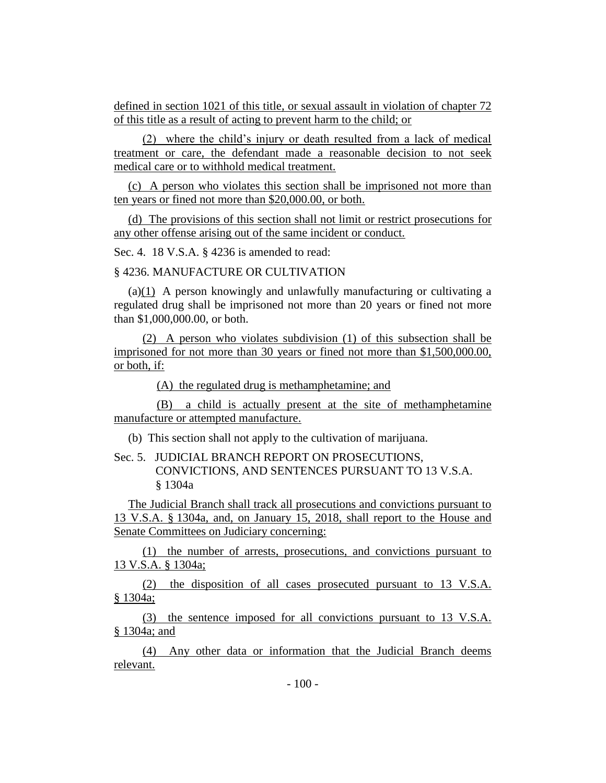defined in section 1021 of this title, or sexual assault in violation of chapter 72 of this title as a result of acting to prevent harm to the child; or

(2) where the child's injury or death resulted from a lack of medical treatment or care, the defendant made a reasonable decision to not seek medical care or to withhold medical treatment.

(c) A person who violates this section shall be imprisoned not more than ten years or fined not more than \$20,000.00, or both.

(d) The provisions of this section shall not limit or restrict prosecutions for any other offense arising out of the same incident or conduct.

Sec. 4. 18 V.S.A. § 4236 is amended to read:

§ 4236. MANUFACTURE OR CULTIVATION

(a)(1) A person knowingly and unlawfully manufacturing or cultivating a regulated drug shall be imprisoned not more than 20 years or fined not more than \$1,000,000.00, or both.

(2) A person who violates subdivision (1) of this subsection shall be imprisoned for not more than 30 years or fined not more than \$1,500,000.00, or both, if:

(A) the regulated drug is methamphetamine; and

(B) a child is actually present at the site of methamphetamine manufacture or attempted manufacture.

(b) This section shall not apply to the cultivation of marijuana.

Sec. 5. JUDICIAL BRANCH REPORT ON PROSECUTIONS, CONVICTIONS, AND SENTENCES PURSUANT TO 13 V.S.A. § 1304a

The Judicial Branch shall track all prosecutions and convictions pursuant to 13 V.S.A. § 1304a, and, on January 15, 2018, shall report to the House and Senate Committees on Judiciary concerning:

(1) the number of arrests, prosecutions, and convictions pursuant to 13 V.S.A. § 1304a;

(2) the disposition of all cases prosecuted pursuant to 13 V.S.A. § 1304a;

(3) the sentence imposed for all convictions pursuant to 13 V.S.A. § 1304a; and

(4) Any other data or information that the Judicial Branch deems relevant.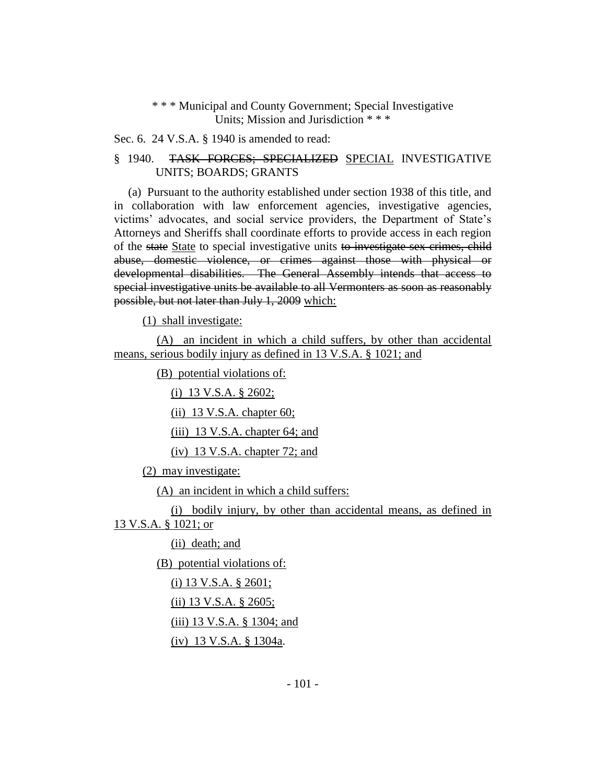# \* \* \* [Municipal and County Government;](http://vtleg.bluehousegroup.com/statutes/title/24) Special Investigative Units; Mission and Jurisdiction \* \* \*

Sec. 6. 24 V.S.A. § 1940 is amended to read:

# § 1940. TASK FORCES; SPECIALIZED SPECIAL INVESTIGATIVE UNITS; BOARDS; GRANTS

(a) Pursuant to the authority established under section 1938 of this title, and in collaboration with law enforcement agencies, investigative agencies, victims' advocates, and social service providers, the Department of State's Attorneys and Sheriffs shall coordinate efforts to provide access in each region of the state State to special investigative units to investigate sex crimes, child abuse, domestic violence, or crimes against those with physical or developmental disabilities. The General Assembly intends that access to special investigative units be available to all Vermonters as soon as reasonably possible, but not later than July 1, 2009 which:

(1) shall investigate:

(A) an incident in which a child suffers, by other than accidental means, serious bodily injury as defined in 13 V.S.A. § 1021; and

(B) potential violations of:

(i) 13 V.S.A. § 2602;

(ii) 13 V.S.A. chapter 60;

(iii) 13 V.S.A. chapter 64; and

(iv) 13 V.S.A. chapter 72; and

(2) may investigate:

(A) an incident in which a child suffers:

(i) bodily injury, by other than accidental means, as defined in 13 V.S.A. § 1021; or

(ii) death; and

(B) potential violations of:

(i) 13 V.S.A. § 2601;

(ii) 13 V.S.A. § 2605;

(iii) 13 V.S.A. § 1304; and

(iv) 13 V.S.A. § 1304a.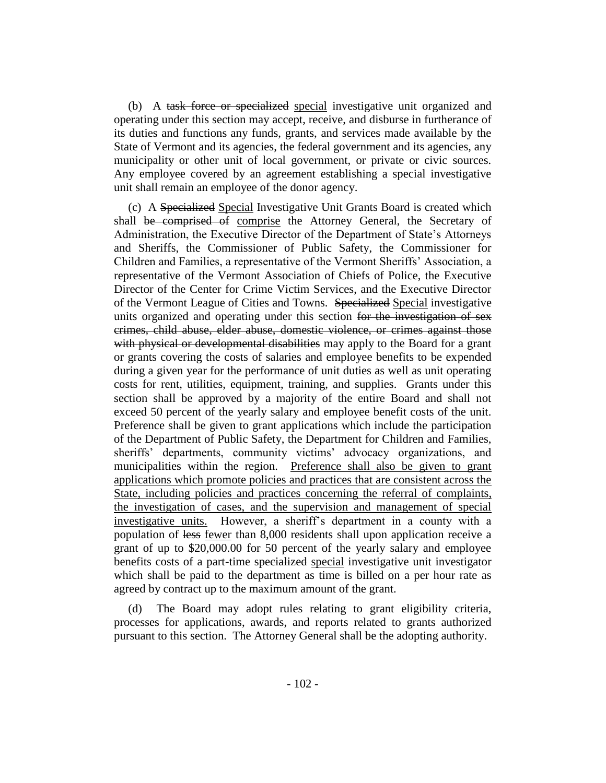(b) A task force or specialized special investigative unit organized and operating under this section may accept, receive, and disburse in furtherance of its duties and functions any funds, grants, and services made available by the State of Vermont and its agencies, the federal government and its agencies, any municipality or other unit of local government, or private or civic sources. Any employee covered by an agreement establishing a special investigative unit shall remain an employee of the donor agency.

(c) A Specialized Special Investigative Unit Grants Board is created which shall be comprised of comprise the Attorney General, the Secretary of Administration, the Executive Director of the Department of State's Attorneys and Sheriffs, the Commissioner of Public Safety, the Commissioner for Children and Families, a representative of the Vermont Sheriffs' Association, a representative of the Vermont Association of Chiefs of Police, the Executive Director of the Center for Crime Victim Services, and the Executive Director of the Vermont League of Cities and Towns. Specialized Special investigative units organized and operating under this section for the investigation of sex crimes, child abuse, elder abuse, domestic violence, or crimes against those with physical or developmental disabilities may apply to the Board for a grant or grants covering the costs of salaries and employee benefits to be expended during a given year for the performance of unit duties as well as unit operating costs for rent, utilities, equipment, training, and supplies. Grants under this section shall be approved by a majority of the entire Board and shall not exceed 50 percent of the yearly salary and employee benefit costs of the unit. Preference shall be given to grant applications which include the participation of the Department of Public Safety, the Department for Children and Families, sheriffs' departments, community victims' advocacy organizations, and municipalities within the region. Preference shall also be given to grant applications which promote policies and practices that are consistent across the State, including policies and practices concerning the referral of complaints, the investigation of cases, and the supervision and management of special investigative units. However, a sheriff's department in a county with a population of less fewer than 8,000 residents shall upon application receive a grant of up to \$20,000.00 for 50 percent of the yearly salary and employee benefits costs of a part-time specialized special investigative unit investigator which shall be paid to the department as time is billed on a per hour rate as agreed by contract up to the maximum amount of the grant.

(d) The Board may adopt rules relating to grant eligibility criteria, processes for applications, awards, and reports related to grants authorized pursuant to this section. The Attorney General shall be the adopting authority.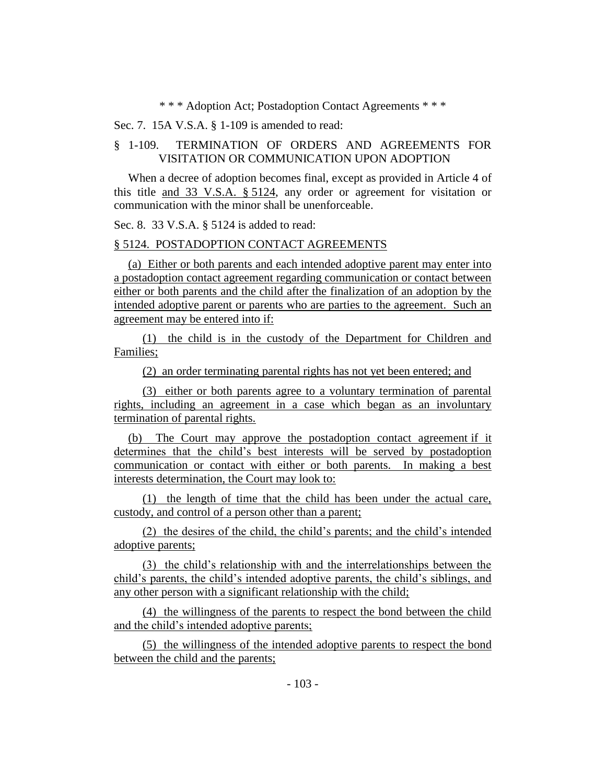\* \* \* Adoption Act; Postadoption Contact Agreements \* \* \*

Sec. 7. 15A V.S.A. § 1-109 is amended to read:

# § 1-109. TERMINATION OF ORDERS AND AGREEMENTS FOR VISITATION OR COMMUNICATION UPON ADOPTION

When a decree of adoption becomes final, except as provided in Article 4 of this title and 33 V.S.A. § 5124, any order or agreement for visitation or communication with the minor shall be unenforceable.

Sec. 8. 33 V.S.A. § 5124 is added to read:

# § 5124. POSTADOPTION CONTACT AGREEMENTS

(a) Either or both parents and each intended adoptive parent may enter into a postadoption contact agreement regarding communication or contact between either or both parents and the child after the finalization of an adoption by the intended adoptive parent or parents who are parties to the agreement. Such an agreement may be entered into if:

(1) the child is in the custody of the Department for Children and Families;

(2) an order terminating parental rights has not yet been entered; and

(3) either or both parents agree to a voluntary termination of parental rights, including an agreement in a case which began as an involuntary termination of parental rights.

(b) The Court may approve the postadoption contact agreement if it determines that the child's best interests will be served by postadoption communication or contact with either or both parents. In making a best interests determination, the Court may look to:

(1) the length of time that the child has been under the actual care, custody, and control of a person other than a parent;

(2) the desires of the child, the child's parents; and the child's intended adoptive parents;

(3) the child's relationship with and the interrelationships between the child's parents, the child's intended adoptive parents, the child's siblings, and any other person with a significant relationship with the child;

(4) the willingness of the parents to respect the bond between the child and the child's intended adoptive parents;

(5) the willingness of the intended adoptive parents to respect the bond between the child and the parents;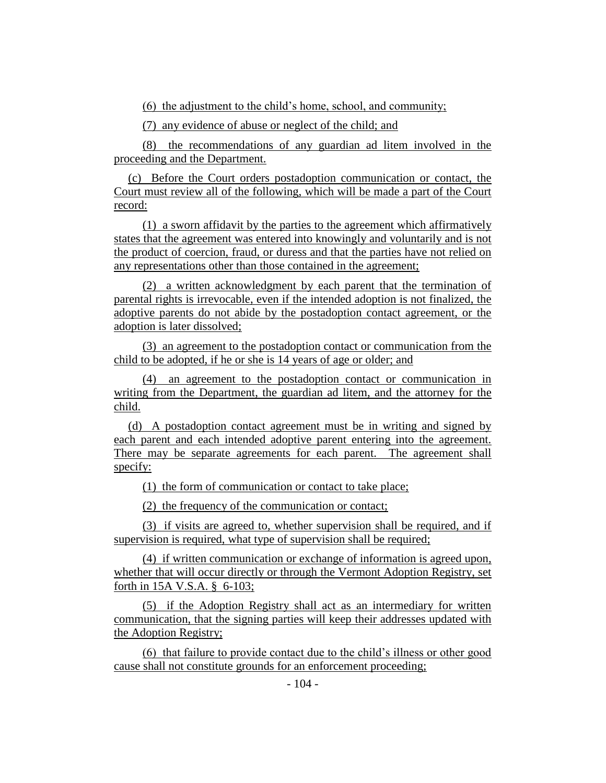(6) the adjustment to the child's home, school, and community;

(7) any evidence of abuse or neglect of the child; and

(8) the recommendations of any guardian ad litem involved in the proceeding and the Department.

(c) Before the Court orders postadoption communication or contact, the Court must review all of the following, which will be made a part of the Court record:

(1) a sworn affidavit by the parties to the agreement which affirmatively states that the agreement was entered into knowingly and voluntarily and is not the product of coercion, fraud, or duress and that the parties have not relied on any representations other than those contained in the agreement;

(2) a written acknowledgment by each parent that the termination of parental rights is irrevocable, even if the intended adoption is not finalized, the adoptive parents do not abide by the postadoption contact agreement, or the adoption is later dissolved;

(3) an agreement to the postadoption contact or communication from the child to be adopted, if he or she is 14 years of age or older; and

(4) an agreement to the postadoption contact or communication in writing from the Department, the guardian ad litem, and the attorney for the child.

(d) A postadoption contact agreement must be in writing and signed by each parent and each intended adoptive parent entering into the agreement. There may be separate agreements for each parent. The agreement shall specify:

(1) the form of communication or contact to take place;

(2) the frequency of the communication or contact;

(3) if visits are agreed to, whether supervision shall be required, and if supervision is required, what type of supervision shall be required;

(4) if written communication or exchange of information is agreed upon, whether that will occur directly or through the Vermont Adoption Registry, set forth in 15A V.S.A. § 6-103;

(5) if the Adoption Registry shall act as an intermediary for written communication, that the signing parties will keep their addresses updated with the Adoption Registry;

(6) that failure to provide contact due to the child's illness or other good cause shall not constitute grounds for an enforcement proceeding;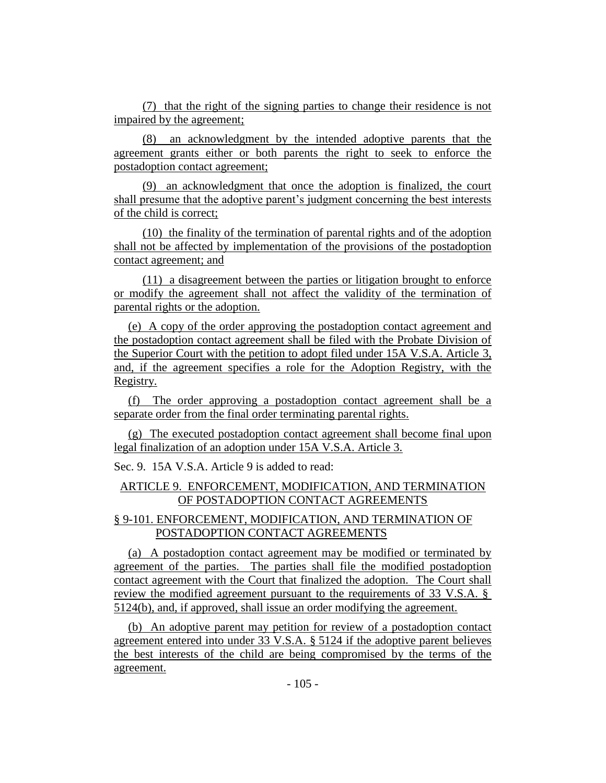(7) that the right of the signing parties to change their residence is not impaired by the agreement;

(8) an acknowledgment by the intended adoptive parents that the agreement grants either or both parents the right to seek to enforce the postadoption contact agreement;

(9) an acknowledgment that once the adoption is finalized, the court shall presume that the adoptive parent's judgment concerning the best interests of the child is correct;

(10) the finality of the termination of parental rights and of the adoption shall not be affected by implementation of the provisions of the postadoption contact agreement; and

(11) a disagreement between the parties or litigation brought to enforce or modify the agreement shall not affect the validity of the termination of parental rights or the adoption.

(e) A copy of the order approving the postadoption contact agreement and the postadoption contact agreement shall be filed with the Probate Division of the Superior Court with the petition to adopt filed under 15A V.S.A. Article 3, and, if the agreement specifies a role for the Adoption Registry, with the Registry.

(f) The order approving a postadoption contact agreement shall be a separate order from the final order terminating parental rights.

(g) The executed postadoption contact agreement shall become final upon legal finalization of an adoption under 15A V.S.A. Article 3.

Sec. 9. 15A V.S.A. Article 9 is added to read:

# ARTICLE 9. ENFORCEMENT, MODIFICATION, AND TERMINATION OF POSTADOPTION CONTACT AGREEMENTS

# § 9-101. ENFORCEMENT, MODIFICATION, AND TERMINATION OF POSTADOPTION CONTACT AGREEMENTS

(a) A postadoption contact agreement may be modified or terminated by agreement of the parties. The parties shall file the modified postadoption contact agreement with the Court that finalized the adoption. The Court shall review the modified agreement pursuant to the requirements of 33 V.S.A. § 5124(b), and, if approved, shall issue an order modifying the agreement.

(b) An adoptive parent may petition for review of a postadoption contact agreement entered into under 33 V.S.A. § 5124 if the adoptive parent believes the best interests of the child are being compromised by the terms of the agreement.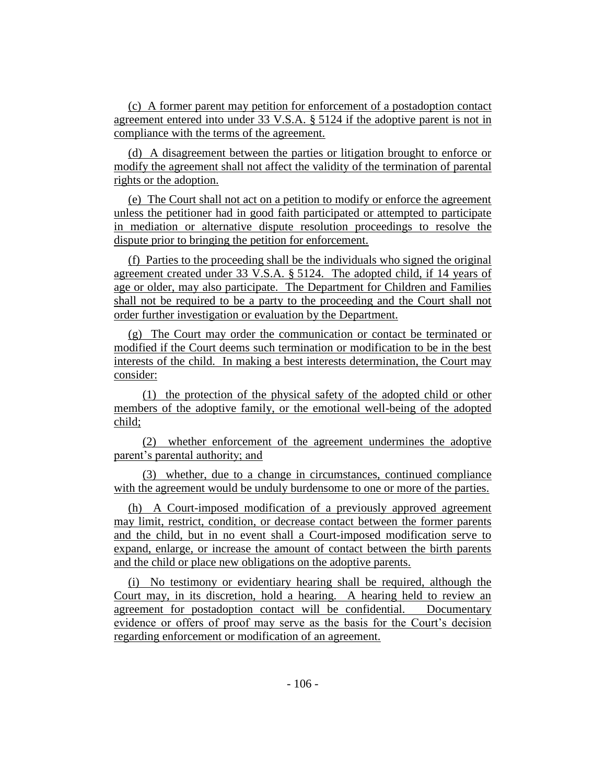(c) A former parent may petition for enforcement of a postadoption contact agreement entered into under 33 V.S.A. § 5124 if the adoptive parent is not in compliance with the terms of the agreement.

(d) A disagreement between the parties or litigation brought to enforce or modify the agreement shall not affect the validity of the termination of parental rights or the adoption.

(e) The Court shall not act on a petition to modify or enforce the agreement unless the petitioner had in good faith participated or attempted to participate in mediation or alternative dispute resolution proceedings to resolve the dispute prior to bringing the petition for enforcement.

(f) Parties to the proceeding shall be the individuals who signed the original agreement created under 33 V.S.A. § 5124. The adopted child, if 14 years of age or older, may also participate. The Department for Children and Families shall not be required to be a party to the proceeding and the Court shall not order further investigation or evaluation by the Department.

(g) The Court may order the communication or contact be terminated or modified if the Court deems such termination or modification to be in the best interests of the child. In making a best interests determination, the Court may consider:

(1) the protection of the physical safety of the adopted child or other members of the adoptive family, or the emotional well-being of the adopted child;

(2) whether enforcement of the agreement undermines the adoptive parent's parental authority; and

(3) whether, due to a change in circumstances, continued compliance with the agreement would be unduly burdensome to one or more of the parties.

(h) A Court-imposed modification of a previously approved agreement may limit, restrict, condition, or decrease contact between the former parents and the child, but in no event shall a Court-imposed modification serve to expand, enlarge, or increase the amount of contact between the birth parents and the child or place new obligations on the adoptive parents.

(i) No testimony or evidentiary hearing shall be required, although the Court may, in its discretion, hold a hearing. A hearing held to review an agreement for postadoption contact will be confidential. Documentary evidence or offers of proof may serve as the basis for the Court's decision regarding enforcement or modification of an agreement.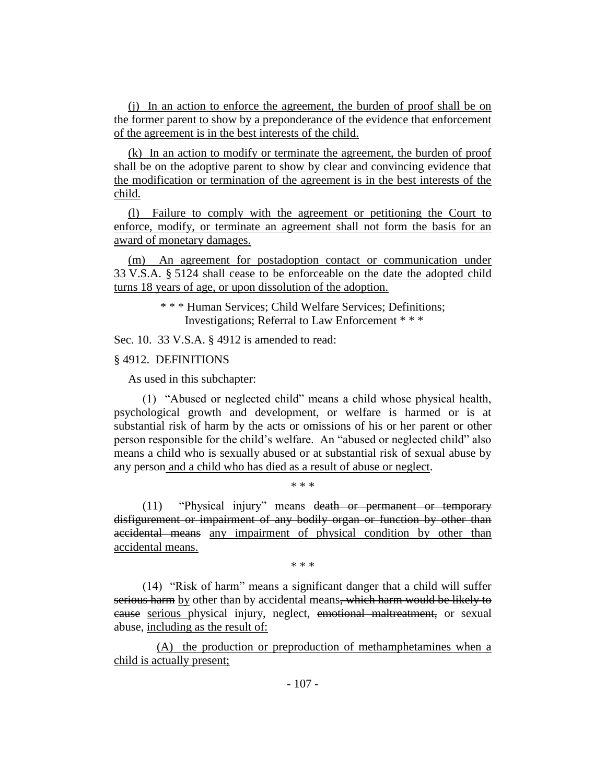(j) In an action to enforce the agreement, the burden of proof shall be on the former parent to show by a preponderance of the evidence that enforcement of the agreement is in the best interests of the child.

(k) In an action to modify or terminate the agreement, the burden of proof shall be on the adoptive parent to show by clear and convincing evidence that the modification or termination of the agreement is in the best interests of the child.

(l) Failure to comply with the agreement or petitioning the Court to enforce, modify, or terminate an agreement shall not form the basis for an award of monetary damages.

(m) An agreement for postadoption contact or communication under 33 V.S.A. § 5124 shall cease to be enforceable on the date the adopted child turns 18 years of age, or upon dissolution of the adoption.

> \* \* \* Human Services; Child Welfare Services; Definitions; Investigations; Referral to Law Enforcement \* \* \*

Sec. 10. 33 V.S.A. § 4912 is amended to read:

# § 4912. DEFINITIONS

As used in this subchapter:

(1) "Abused or neglected child" means a child whose physical health, psychological growth and development, or welfare is harmed or is at substantial risk of harm by the acts or omissions of his or her parent or other person responsible for the child's welfare. An "abused or neglected child" also means a child who is sexually abused or at substantial risk of sexual abuse by any person and a child who has died as a result of abuse or neglect.

\* \* \*

(11) "Physical injury" means death or permanent or temporary disfigurement or impairment of any bodily organ or function by other than accidental means any impairment of physical condition by other than accidental means.

\* \* \*

(14) "Risk of harm" means a significant danger that a child will suffer serious harm by other than by accidental means, which harm would be likely to cause serious physical injury, neglect, emotional maltreatment, or sexual abuse, including as the result of:

(A) the production or preproduction of methamphetamines when a child is actually present;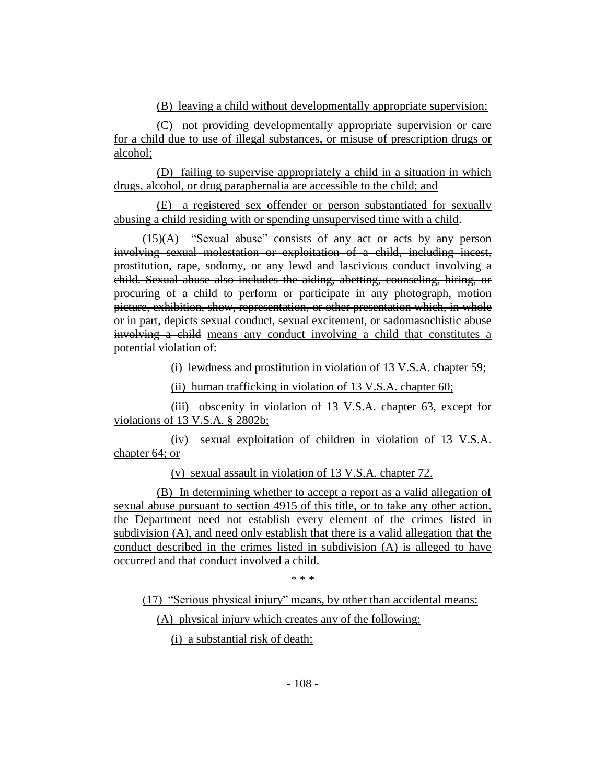(B) leaving a child without developmentally appropriate supervision;

(C) not providing developmentally appropriate supervision or care for a child due to use of illegal substances, or misuse of prescription drugs or alcohol;

(D) failing to supervise appropriately a child in a situation in which drugs, alcohol, or drug paraphernalia are accessible to the child; and

(E) a registered sex offender or person substantiated for sexually abusing a child residing with or spending unsupervised time with a child.

 $(15)(A)$  "Sexual abuse" consists of any act or acts by any person involving sexual molestation or exploitation of a child, including incest, prostitution, rape, sodomy, or any lewd and lascivious conduct involving a child. Sexual abuse also includes the aiding, abetting, counseling, hiring, or procuring of a child to perform or participate in any photograph, motion picture, exhibition, show, representation, or other presentation which, in whole or in part, depicts sexual conduct, sexual excitement, or sadomasochistic abuse involving a child means any conduct involving a child that constitutes a potential violation of:

(i) lewdness and prostitution in violation of 13 V.S.A. chapter 59;

(ii) human trafficking in violation of 13 V.S.A. chapter 60;

(iii) obscenity in violation of 13 V.S.A. chapter 63, except for violations of 13 V.S.A. § 2802b;

(iv) sexual exploitation of children in violation of 13 V.S.A. chapter 64; or

(v) sexual assault in violation of 13 V.S.A. chapter 72.

(B) In determining whether to accept a report as a valid allegation of sexual abuse pursuant to section 4915 of this title, or to take any other action, the Department need not establish every element of the crimes listed in subdivision (A), and need only establish that there is a valid allegation that the conduct described in the crimes listed in subdivision (A) is alleged to have occurred and that conduct involved a child.

\* \* \*

(17) "Serious physical injury" means, by other than accidental means:

(A) physical injury which creates any of the following:

(i) a substantial risk of death;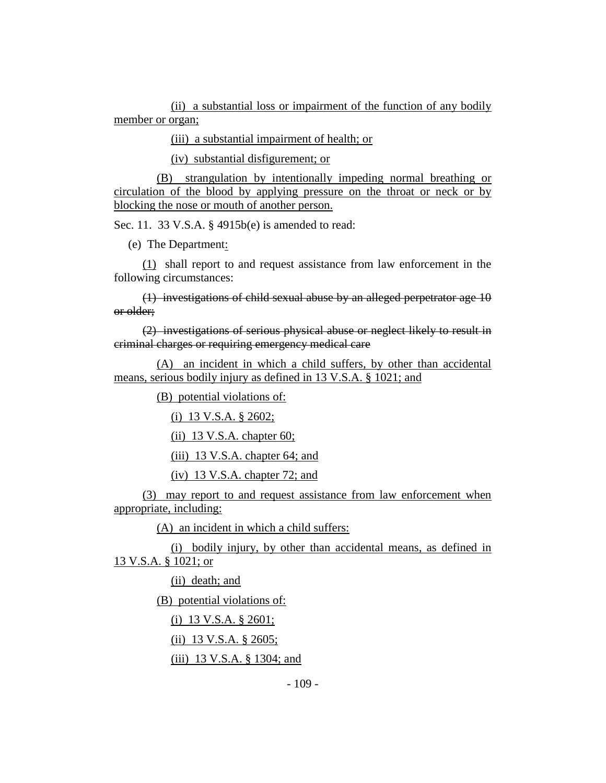(ii) a substantial loss or impairment of the function of any bodily member or organ;

(iii) a substantial impairment of health; or

(iv) substantial disfigurement; or

(B) strangulation by intentionally impeding normal breathing or circulation of the blood by applying pressure on the throat or neck or by blocking the nose or mouth of another person.

Sec. 11. 33 V.S.A. § 4915b(e) is amended to read:

(e) The Department:

(1) shall report to and request assistance from law enforcement in the following circumstances:

(1) investigations of child sexual abuse by an alleged perpetrator age 10 or older;

(2) investigations of serious physical abuse or neglect likely to result in criminal charges or requiring emergency medical care

(A) an incident in which a child suffers, by other than accidental means, serious bodily injury as defined in 13 V.S.A. § 1021; and

(B) potential violations of:

(i) 13 V.S.A. § 2602;

 $(ii)$  13 V.S.A. chapter 60;

(iii) 13 V.S.A. chapter 64; and

(iv) 13 V.S.A. chapter 72; and

(3) may report to and request assistance from law enforcement when appropriate, including:

(A) an incident in which a child suffers:

(i) bodily injury, by other than accidental means, as defined in 13 V.S.A. § 1021; or

(ii) death; and

(B) potential violations of:

(i) 13 V.S.A. § 2601;

(ii) 13 V.S.A. § 2605;

(iii) 13 V.S.A. § 1304; and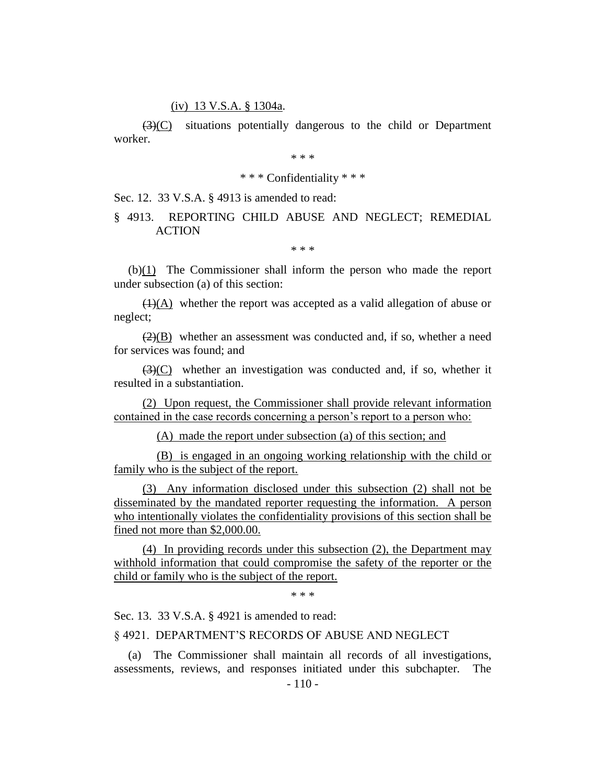#### (iv) 13 V.S.A. § 1304a.

(3)(C) situations potentially dangerous to the child or Department worker.

\* \* \*

# \* \* \* Confidentiality \* \* \*

Sec. 12. 33 V.S.A. § 4913 is amended to read:

# § 4913. REPORTING CHILD ABUSE AND NEGLECT; REMEDIAL ACTION

\* \* \*

 $(b)(1)$  The Commissioner shall inform the person who made the report under subsection (a) of this section:

 $(1)(A)$  whether the report was accepted as a valid allegation of abuse or neglect;

 $(2)(B)$  whether an assessment was conducted and, if so, whether a need for services was found; and

 $\left(\frac{3}{2}\right)(C)$  whether an investigation was conducted and, if so, whether it resulted in a substantiation.

(2) Upon request, the Commissioner shall provide relevant information contained in the case records concerning a person's report to a person who:

(A) made the report under subsection (a) of this section; and

(B) is engaged in an ongoing working relationship with the child or family who is the subject of the report.

(3) Any information disclosed under this subsection (2) shall not be disseminated by the mandated reporter requesting the information. A person who intentionally violates the confidentiality provisions of this section shall be fined not more than \$2,000.00.

(4) In providing records under this subsection (2), the Department may withhold information that could compromise the safety of the reporter or the child or family who is the subject of the report.

\* \* \*

Sec. 13. 33 V.S.A. § 4921 is amended to read:

## § 4921. DEPARTMENT'S RECORDS OF ABUSE AND NEGLECT

The Commissioner shall maintain all records of all investigations, assessments, reviews, and responses initiated under this subchapter. The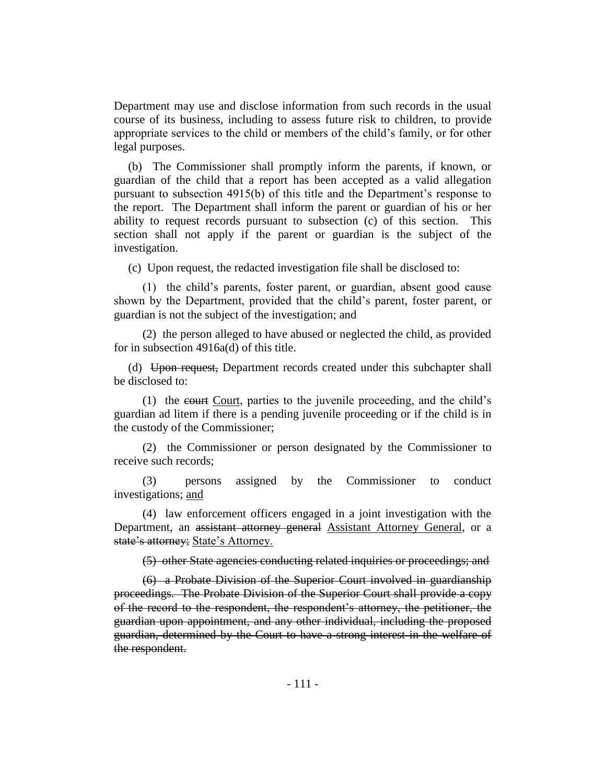Department may use and disclose information from such records in the usual course of its business, including to assess future risk to children, to provide appropriate services to the child or members of the child's family, or for other legal purposes.

(b) The Commissioner shall promptly inform the parents, if known, or guardian of the child that a report has been accepted as a valid allegation pursuant to subsection 4915(b) of this title and the Department's response to the report. The Department shall inform the parent or guardian of his or her ability to request records pursuant to subsection (c) of this section. This section shall not apply if the parent or guardian is the subject of the investigation.

(c) Upon request, the redacted investigation file shall be disclosed to:

(1) the child's parents, foster parent, or guardian, absent good cause shown by the Department, provided that the child's parent, foster parent, or guardian is not the subject of the investigation; and

(2) the person alleged to have abused or neglected the child, as provided for in subsection 4916a(d) of this title.

(d) Upon request, Department records created under this subchapter shall be disclosed to:

(1) the court Court, parties to the juvenile proceeding, and the child's guardian ad litem if there is a pending juvenile proceeding or if the child is in the custody of the Commissioner;

(2) the Commissioner or person designated by the Commissioner to receive such records;

(3) persons assigned by the Commissioner to conduct investigations; and

(4) law enforcement officers engaged in a joint investigation with the Department, an assistant attorney general Assistant Attorney General, or a state's attorney; State's Attorney.

(5) other State agencies conducting related inquiries or proceedings; and

(6) a Probate Division of the Superior Court involved in guardianship proceedings. The Probate Division of the Superior Court shall provide a copy of the record to the respondent, the respondent's attorney, the petitioner, the guardian upon appointment, and any other individual, including the proposed guardian, determined by the Court to have a strong interest in the welfare of the respondent.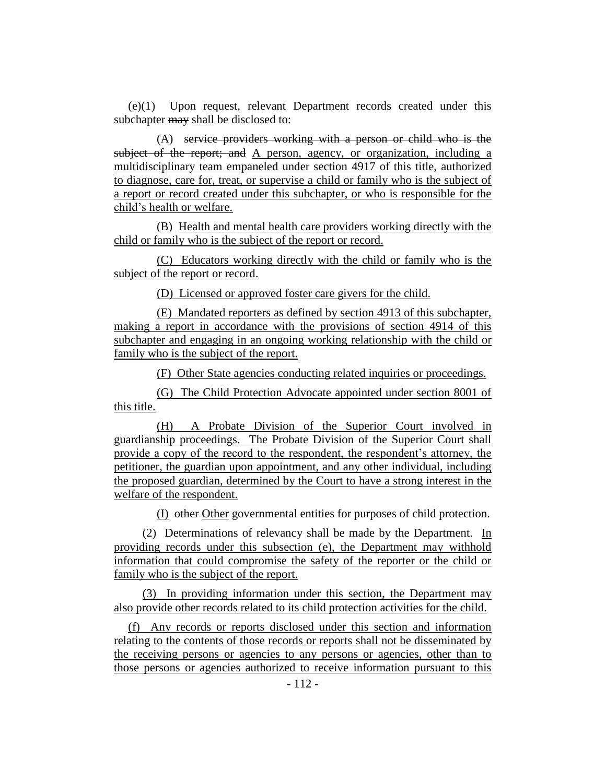(e)(1) Upon request, relevant Department records created under this subchapter may shall be disclosed to:

(A) service providers working with a person or child who is the subject of the report; and A person, agency, or organization, including a multidisciplinary team empaneled under section 4917 of this title, authorized to diagnose, care for, treat, or supervise a child or family who is the subject of a report or record created under this subchapter, or who is responsible for the child's health or welfare.

(B) Health and mental health care providers working directly with the child or family who is the subject of the report or record.

(C) Educators working directly with the child or family who is the subject of the report or record.

(D) Licensed or approved foster care givers for the child.

(E) Mandated reporters as defined by section 4913 of this subchapter, making a report in accordance with the provisions of section 4914 of this subchapter and engaging in an ongoing working relationship with the child or family who is the subject of the report.

(F) Other State agencies conducting related inquiries or proceedings.

(G) The Child Protection Advocate appointed under section 8001 of this title.

(H) A Probate Division of the Superior Court involved in guardianship proceedings. The Probate Division of the Superior Court shall provide a copy of the record to the respondent, the respondent's attorney, the petitioner, the guardian upon appointment, and any other individual, including the proposed guardian, determined by the Court to have a strong interest in the welfare of the respondent.

(I) other Other governmental entities for purposes of child protection.

(2) Determinations of relevancy shall be made by the Department. In providing records under this subsection (e), the Department may withhold information that could compromise the safety of the reporter or the child or family who is the subject of the report.

(3) In providing information under this section, the Department may also provide other records related to its child protection activities for the child.

(f) Any records or reports disclosed under this section and information relating to the contents of those records or reports shall not be disseminated by the receiving persons or agencies to any persons or agencies, other than to those persons or agencies authorized to receive information pursuant to this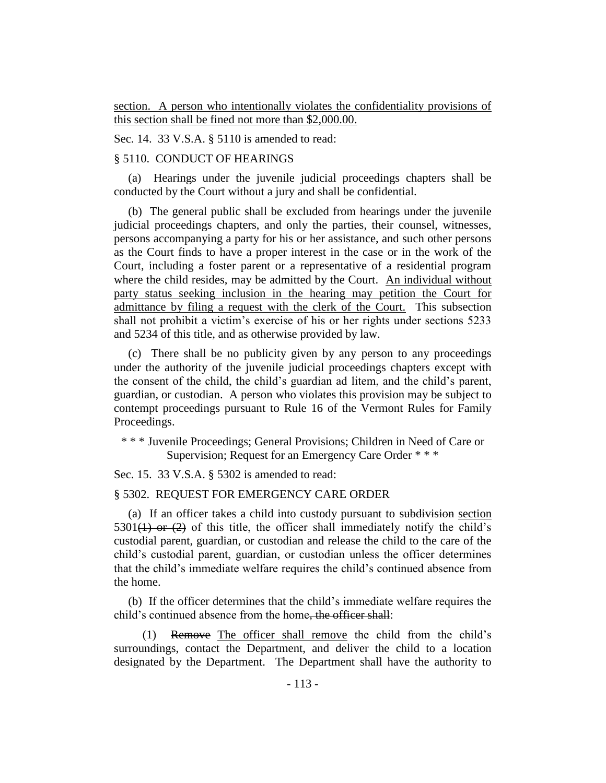section. A person who intentionally violates the confidentiality provisions of this section shall be fined not more than \$2,000.00.

Sec. 14. 33 V.S.A. § 5110 is amended to read:

# § 5110. CONDUCT OF HEARINGS

(a) Hearings under the juvenile judicial proceedings chapters shall be conducted by the Court without a jury and shall be confidential.

(b) The general public shall be excluded from hearings under the juvenile judicial proceedings chapters, and only the parties, their counsel, witnesses, persons accompanying a party for his or her assistance, and such other persons as the Court finds to have a proper interest in the case or in the work of the Court, including a foster parent or a representative of a residential program where the child resides, may be admitted by the Court. An individual without party status seeking inclusion in the hearing may petition the Court for admittance by filing a request with the clerk of the Court. This subsection shall not prohibit a victim's exercise of his or her rights under sections 5233 and 5234 of this title, and as otherwise provided by law.

(c) There shall be no publicity given by any person to any proceedings under the authority of the juvenile judicial proceedings chapters except with the consent of the child, the child's guardian ad litem, and the child's parent, guardian, or custodian. A person who violates this provision may be subject to contempt proceedings pursuant to Rule 16 of the Vermont Rules for Family Proceedings.

\* \* \* Juvenile Proceedings; General Provisions; Children in Need of Care or Supervision; Request for an Emergency Care Order \* \* \*

Sec. 15. 33 V.S.A. § 5302 is amended to read:

# § 5302. REQUEST FOR EMERGENCY CARE ORDER

(a) If an officer takes a child into custody pursuant to subdivision section  $5301(1)$  or (2) of this title, the officer shall immediately notify the child's custodial parent, guardian, or custodian and release the child to the care of the child's custodial parent, guardian, or custodian unless the officer determines that the child's immediate welfare requires the child's continued absence from the home.

(b) If the officer determines that the child's immediate welfare requires the child's continued absence from the home, the officer shall:

(1) Remove The officer shall remove the child from the child's surroundings, contact the Department, and deliver the child to a location designated by the Department. The Department shall have the authority to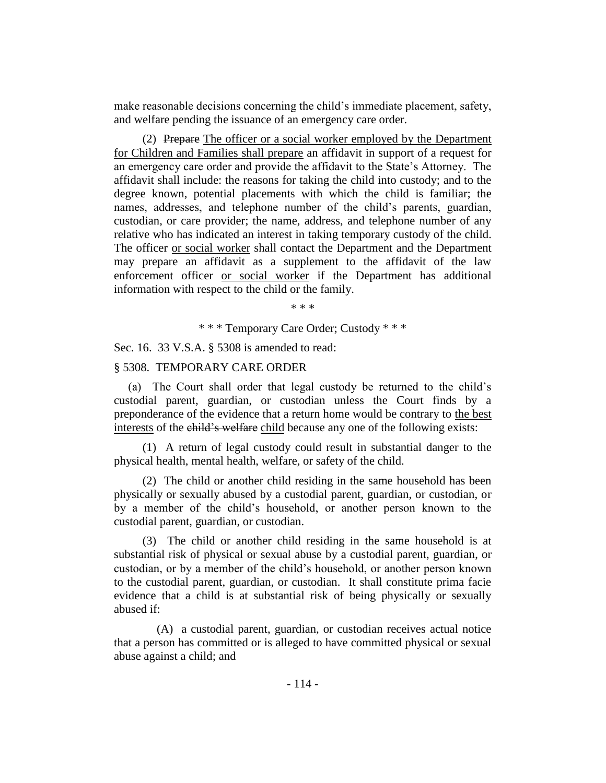make reasonable decisions concerning the child's immediate placement, safety, and welfare pending the issuance of an emergency care order.

(2) Prepare The officer or a social worker employed by the Department for Children and Families shall prepare an affidavit in support of a request for an emergency care order and provide the affidavit to the State's Attorney. The affidavit shall include: the reasons for taking the child into custody; and to the degree known, potential placements with which the child is familiar; the names, addresses, and telephone number of the child's parents, guardian, custodian, or care provider; the name, address, and telephone number of any relative who has indicated an interest in taking temporary custody of the child. The officer or social worker shall contact the Department and the Department may prepare an affidavit as a supplement to the affidavit of the law enforcement officer or social worker if the Department has additional information with respect to the child or the family.

\* \* \*

\* \* \* Temporary Care Order; Custody \* \* \*

Sec. 16. 33 V.S.A. § 5308 is amended to read:

#### § 5308. TEMPORARY CARE ORDER

(a) The Court shall order that legal custody be returned to the child's custodial parent, guardian, or custodian unless the Court finds by a preponderance of the evidence that a return home would be contrary to the best interests of the child's welfare child because any one of the following exists:

(1) A return of legal custody could result in substantial danger to the physical health, mental health, welfare, or safety of the child.

(2) The child or another child residing in the same household has been physically or sexually abused by a custodial parent, guardian, or custodian, or by a member of the child's household, or another person known to the custodial parent, guardian, or custodian.

(3) The child or another child residing in the same household is at substantial risk of physical or sexual abuse by a custodial parent, guardian, or custodian, or by a member of the child's household, or another person known to the custodial parent, guardian, or custodian. It shall constitute prima facie evidence that a child is at substantial risk of being physically or sexually abused if:

(A) a custodial parent, guardian, or custodian receives actual notice that a person has committed or is alleged to have committed physical or sexual abuse against a child; and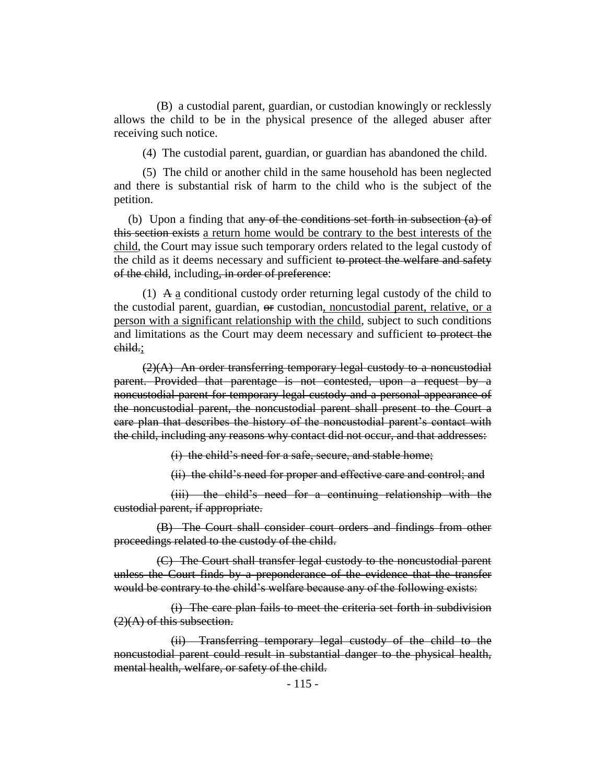(B) a custodial parent, guardian, or custodian knowingly or recklessly allows the child to be in the physical presence of the alleged abuser after receiving such notice.

(4) The custodial parent, guardian, or guardian has abandoned the child.

(5) The child or another child in the same household has been neglected and there is substantial risk of harm to the child who is the subject of the petition.

(b) Upon a finding that any of the conditions set forth in subsection  $(a)$  of this section exists a return home would be contrary to the best interests of the child, the Court may issue such temporary orders related to the legal custody of the child as it deems necessary and sufficient to protect the welfare and safety of the child, including, in order of preference:

(1)  $\overline{A}$  a conditional custody order returning legal custody of the child to the custodial parent, guardian, or custodian, noncustodial parent, relative, or a person with a significant relationship with the child, subject to such conditions and limitations as the Court may deem necessary and sufficient to protect the child.;

 $(2)(A)$  An order transferring temporary legal custody to a noncustodial parent. Provided that parentage is not contested, upon a request by a noncustodial parent for temporary legal custody and a personal appearance of the noncustodial parent, the noncustodial parent shall present to the Court a care plan that describes the history of the noncustodial parent's contact with the child, including any reasons why contact did not occur, and that addresses:

(i) the child's need for a safe, secure, and stable home;

(ii) the child's need for proper and effective care and control; and

(iii) the child's need for a continuing relationship with the custodial parent, if appropriate.

(B) The Court shall consider court orders and findings from other proceedings related to the custody of the child.

(C) The Court shall transfer legal custody to the noncustodial parent unless the Court finds by a preponderance of the evidence that the transfer would be contrary to the child's welfare because any of the following exists:

(i) The care plan fails to meet the criteria set forth in subdivision  $(2)(A)$  of this subsection.

(ii) Transferring temporary legal custody of the child to the noncustodial parent could result in substantial danger to the physical health, mental health, welfare, or safety of the child.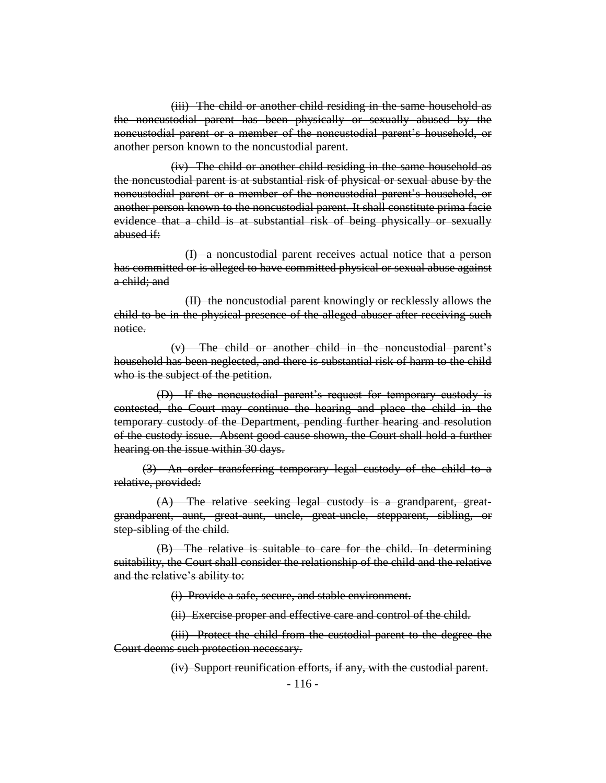(iii) The child or another child residing in the same household as the noncustodial parent has been physically or sexually abused by the noncustodial parent or a member of the noncustodial parent's household, or another person known to the noncustodial parent.

(iv) The child or another child residing in the same household as the noncustodial parent is at substantial risk of physical or sexual abuse by the noncustodial parent or a member of the noncustodial parent's household, or another person known to the noncustodial parent. It shall constitute prima facie evidence that a child is at substantial risk of being physically or sexually abused if:

(I) a noncustodial parent receives actual notice that a person has committed or is alleged to have committed physical or sexual abuse against a child; and

(II) the noncustodial parent knowingly or recklessly allows the child to be in the physical presence of the alleged abuser after receiving such notice.

(v) The child or another child in the noncustodial parent's household has been neglected, and there is substantial risk of harm to the child who is the subject of the petition.

(D) If the noncustodial parent's request for temporary custody is contested, the Court may continue the hearing and place the child in the temporary custody of the Department, pending further hearing and resolution of the custody issue. Absent good cause shown, the Court shall hold a further hearing on the issue within 30 days.

(3) An order transferring temporary legal custody of the child to a relative, provided:

(A) The relative seeking legal custody is a grandparent, greatgrandparent, aunt, great-aunt, uncle, great-uncle, stepparent, sibling, or step-sibling of the child.

(B) The relative is suitable to care for the child. In determining suitability, the Court shall consider the relationship of the child and the relative and the relative's ability to:

(i) Provide a safe, secure, and stable environment.

(ii) Exercise proper and effective care and control of the child.

(iii) Protect the child from the custodial parent to the degree the Court deems such protection necessary.

(iv) Support reunification efforts, if any, with the custodial parent.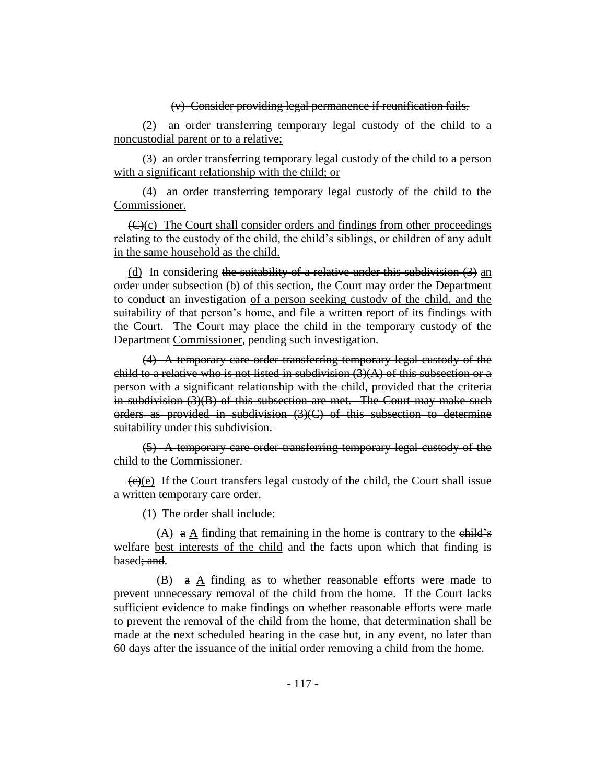## (v) Consider providing legal permanence if reunification fails.

(2) an order transferring temporary legal custody of the child to a noncustodial parent or to a relative;

(3) an order transferring temporary legal custody of the child to a person with a significant relationship with the child; or

(4) an order transferring temporary legal custody of the child to the Commissioner.

 $\left(\frac{f(x)}{c}\right)$  The Court shall consider orders and findings from other proceedings relating to the custody of the child, the child's siblings, or children of any adult in the same household as the child.

(d) In considering the suitability of a relative under this subdivision  $(3)$  and order under subsection (b) of this section, the Court may order the Department to conduct an investigation of a person seeking custody of the child, and the suitability of that person's home, and file a written report of its findings with the Court. The Court may place the child in the temporary custody of the Department Commissioner, pending such investigation.

(4) A temporary care order transferring temporary legal custody of the child to a relative who is not listed in subdivision  $(3)(A)$  of this subsection or a person with a significant relationship with the child, provided that the criteria in subdivision (3)(B) of this subsection are met. The Court may make such orders as provided in subdivision  $(3)(C)$  of this subsection to determine suitability under this subdivision.

(5) A temporary care order transferring temporary legal custody of the child to the Commissioner.

 $(e)(e)$  If the Court transfers legal custody of the child, the Court shall issue a written temporary care order.

(1) The order shall include:

(A)  $\alpha$  A finding that remaining in the home is contrary to the child's welfare best interests of the child and the facts upon which that finding is based; and.

(B) a A finding as to whether reasonable efforts were made to prevent unnecessary removal of the child from the home. If the Court lacks sufficient evidence to make findings on whether reasonable efforts were made to prevent the removal of the child from the home, that determination shall be made at the next scheduled hearing in the case but, in any event, no later than 60 days after the issuance of the initial order removing a child from the home.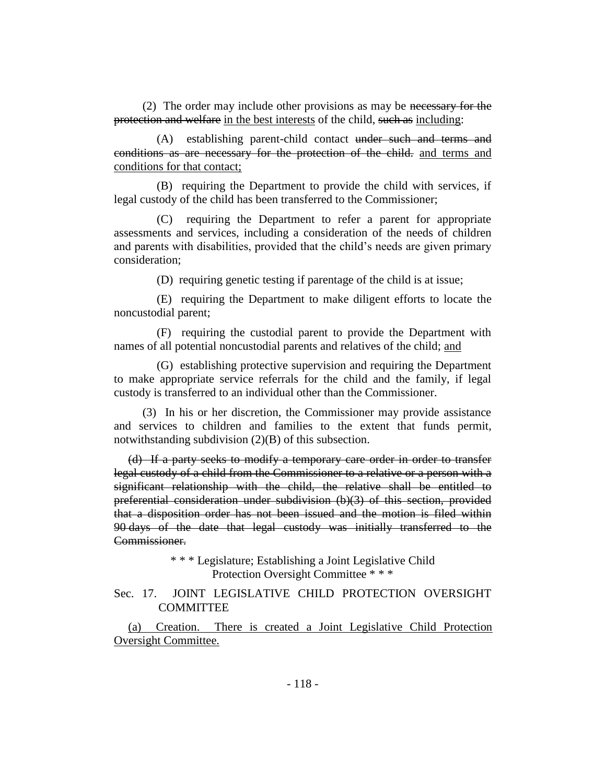(2) The order may include other provisions as may be necessary for the protection and welfare in the best interests of the child, such as including:

(A) establishing parent-child contact under such and terms and conditions as are necessary for the protection of the child. and terms and conditions for that contact;

(B) requiring the Department to provide the child with services, if legal custody of the child has been transferred to the Commissioner;

(C) requiring the Department to refer a parent for appropriate assessments and services, including a consideration of the needs of children and parents with disabilities, provided that the child's needs are given primary consideration;

(D) requiring genetic testing if parentage of the child is at issue;

(E) requiring the Department to make diligent efforts to locate the noncustodial parent;

(F) requiring the custodial parent to provide the Department with names of all potential noncustodial parents and relatives of the child; and

(G) establishing protective supervision and requiring the Department to make appropriate service referrals for the child and the family, if legal custody is transferred to an individual other than the Commissioner.

(3) In his or her discretion, the Commissioner may provide assistance and services to children and families to the extent that funds permit, notwithstanding subdivision (2)(B) of this subsection.

(d) If a party seeks to modify a temporary care order in order to transfer legal custody of a child from the Commissioner to a relative or a person with a significant relationship with the child, the relative shall be entitled to preferential consideration under subdivision (b)(3) of this section, provided that a disposition order has not been issued and the motion is filed within 90 days of the date that legal custody was initially transferred to the Commissioner.

> \* \* \* Legislature; Establishing a Joint Legislative Child Protection Oversight Committee \* \* \*

Sec. 17. JOINT LEGISLATIVE CHILD PROTECTION OVERSIGHT **COMMITTEE** 

(a) Creation. There is created a Joint Legislative Child Protection Oversight Committee.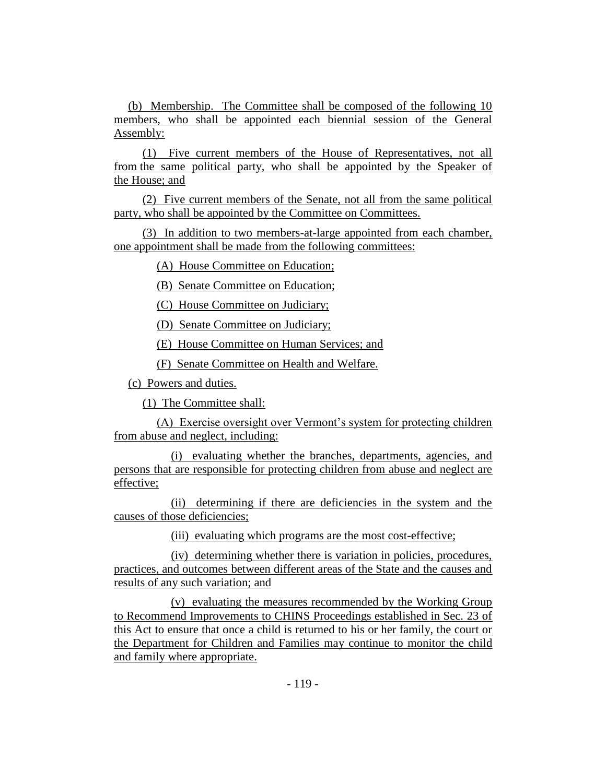(b) Membership. The Committee shall be composed of the following 10 members, who shall be appointed each biennial session of the General Assembly:

(1) Five current members of the House of Representatives, not all from the same political party, who shall be appointed by the Speaker of the House; and

(2) Five current members of the Senate, not all from the same political party, who shall be appointed by the Committee on Committees.

(3) In addition to two members-at-large appointed from each chamber, one appointment shall be made from the following committees:

(A) House Committee on Education;

(B) Senate Committee on Education;

(C) House Committee on Judiciary;

(D) Senate Committee on Judiciary;

(E) House Committee on Human Services; and

(F) Senate Committee on Health and Welfare.

(c) Powers and duties.

(1) The Committee shall:

(A) Exercise oversight over Vermont's system for protecting children from abuse and neglect, including:

(i) evaluating whether the branches, departments, agencies, and persons that are responsible for protecting children from abuse and neglect are effective;

(ii) determining if there are deficiencies in the system and the causes of those deficiencies;

(iii) evaluating which programs are the most cost-effective;

(iv) determining whether there is variation in policies, procedures, practices, and outcomes between different areas of the State and the causes and results of any such variation; and

(v) evaluating the measures recommended by the Working Group to Recommend Improvements to CHINS Proceedings established in Sec. 23 of this Act to ensure that once a child is returned to his or her family, the court or the Department for Children and Families may continue to monitor the child and family where appropriate.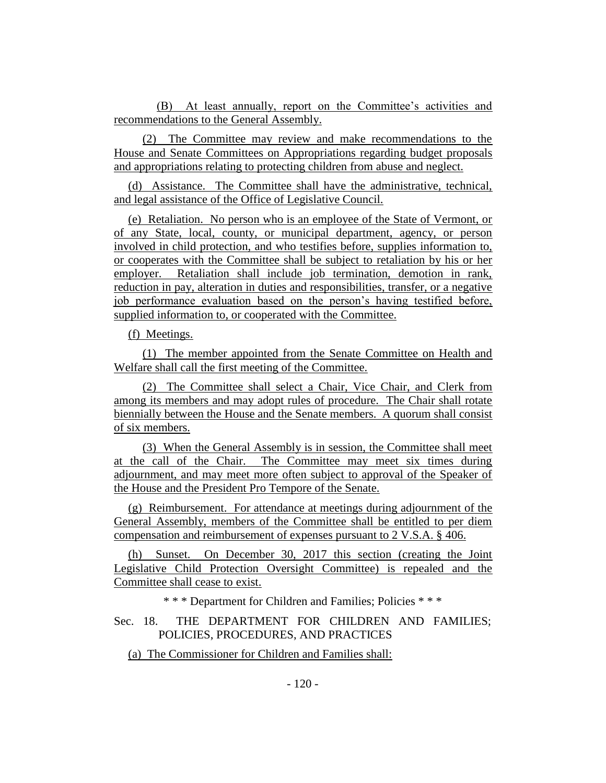(B) At least annually, report on the Committee's activities and recommendations to the General Assembly.

(2) The Committee may review and make recommendations to the House and Senate Committees on Appropriations regarding budget proposals and appropriations relating to protecting children from abuse and neglect.

(d) Assistance. The Committee shall have the administrative, technical, and legal assistance of the Office of Legislative Council.

(e) Retaliation. No person who is an employee of the State of Vermont, or of any State, local, county, or municipal department, agency, or person involved in child protection, and who testifies before, supplies information to, or cooperates with the Committee shall be subject to retaliation by his or her employer. Retaliation shall include job termination, demotion in rank, reduction in pay, alteration in duties and responsibilities, transfer, or a negative job performance evaluation based on the person's having testified before, supplied information to, or cooperated with the Committee.

(f) Meetings.

(1) The member appointed from the Senate Committee on Health and Welfare shall call the first meeting of the Committee.

(2) The Committee shall select a Chair, Vice Chair, and Clerk from among its members and may adopt rules of procedure. The Chair shall rotate biennially between the House and the Senate members. A quorum shall consist of six members.

(3) When the General Assembly is in session, the Committee shall meet at the call of the Chair. The Committee may meet six times during adjournment, and may meet more often subject to approval of the Speaker of the House and the President Pro Tempore of the Senate.

(g) Reimbursement. For attendance at meetings during adjournment of the General Assembly, members of the Committee shall be entitled to per diem compensation and reimbursement of expenses pursuant to 2 V.S.A. § 406.

(h) Sunset. On December 30, 2017 this section (creating the Joint Legislative Child Protection Oversight Committee) is repealed and the Committee shall cease to exist.

\* \* \* Department for Children and Families; Policies \* \* \*

Sec. 18. THE DEPARTMENT FOR CHILDREN AND FAMILIES; POLICIES, PROCEDURES, AND PRACTICES

(a) The Commissioner for Children and Families shall: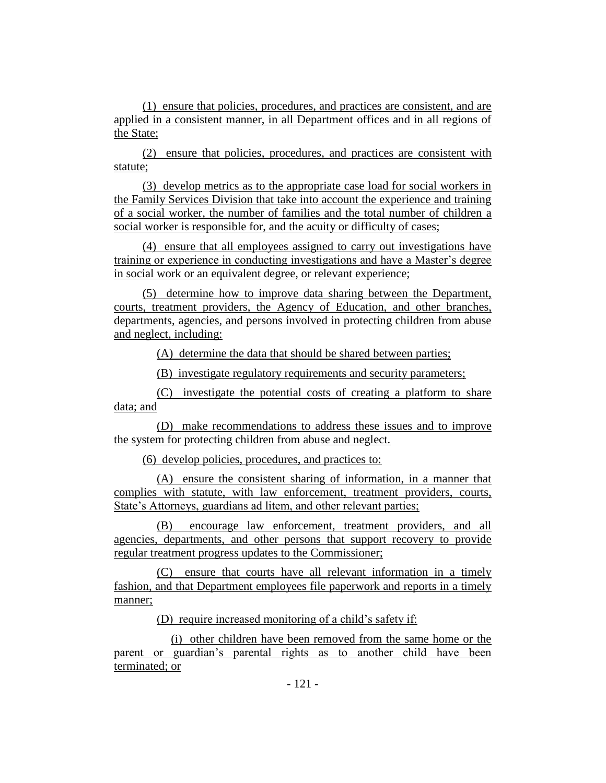(1) ensure that policies, procedures, and practices are consistent, and are applied in a consistent manner, in all Department offices and in all regions of the State;

(2) ensure that policies, procedures, and practices are consistent with statute;

(3) develop metrics as to the appropriate case load for social workers in the Family Services Division that take into account the experience and training of a social worker, the number of families and the total number of children a social worker is responsible for, and the acuity or difficulty of cases;

(4) ensure that all employees assigned to carry out investigations have training or experience in conducting investigations and have a Master's degree in social work or an equivalent degree, or relevant experience;

(5) determine how to improve data sharing between the Department, courts, treatment providers, the Agency of Education, and other branches, departments, agencies, and persons involved in protecting children from abuse and neglect, including:

(A) determine the data that should be shared between parties;

(B) investigate regulatory requirements and security parameters;

(C) investigate the potential costs of creating a platform to share data; and

(D) make recommendations to address these issues and to improve the system for protecting children from abuse and neglect.

(6) develop policies, procedures, and practices to:

(A) ensure the consistent sharing of information, in a manner that complies with statute, with law enforcement, treatment providers, courts, State's Attorneys, guardians ad litem, and other relevant parties;

(B) encourage law enforcement, treatment providers, and all agencies, departments, and other persons that support recovery to provide regular treatment progress updates to the Commissioner;

(C) ensure that courts have all relevant information in a timely fashion, and that Department employees file paperwork and reports in a timely manner;

(D) require increased monitoring of a child's safety if:

(i) other children have been removed from the same home or the parent or guardian's parental rights as to another child have been terminated; or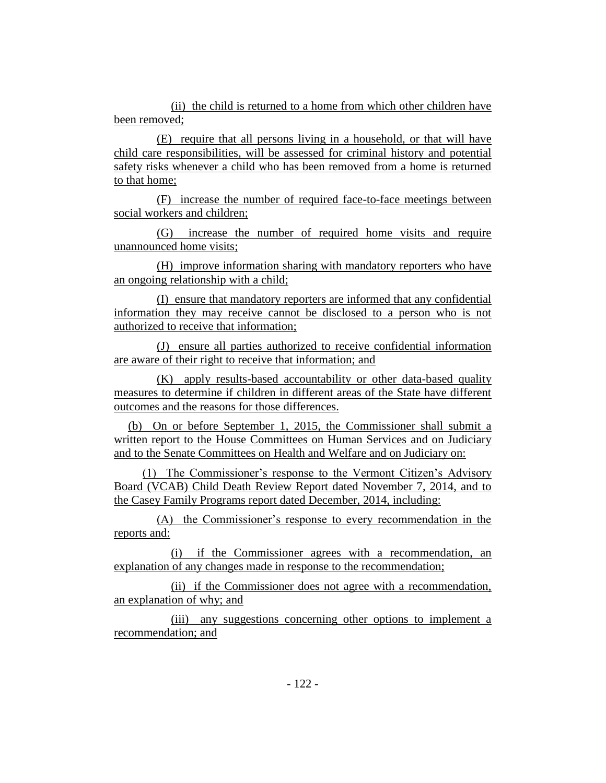(ii) the child is returned to a home from which other children have been removed;

(E) require that all persons living in a household, or that will have child care responsibilities, will be assessed for criminal history and potential safety risks whenever a child who has been removed from a home is returned to that home;

(F) increase the number of required face-to-face meetings between social workers and children;

(G) increase the number of required home visits and require unannounced home visits;

(H) improve information sharing with mandatory reporters who have an ongoing relationship with a child;

(I) ensure that mandatory reporters are informed that any confidential information they may receive cannot be disclosed to a person who is not authorized to receive that information;

(J) ensure all parties authorized to receive confidential information are aware of their right to receive that information; and

(K) apply results-based accountability or other data-based quality measures to determine if children in different areas of the State have different outcomes and the reasons for those differences.

(b) On or before September 1, 2015, the Commissioner shall submit a written report to the House Committees on Human Services and on Judiciary and to the Senate Committees on Health and Welfare and on Judiciary on:

(1) The Commissioner's response to the Vermont Citizen's Advisory Board (VCAB) Child Death Review Report dated November 7, 2014, and to the Casey Family Programs report dated December, 2014, including:

(A) the Commissioner's response to every recommendation in the reports and:

(i) if the Commissioner agrees with a recommendation, an explanation of any changes made in response to the recommendation;

(ii) if the Commissioner does not agree with a recommendation, an explanation of why; and

(iii) any suggestions concerning other options to implement a recommendation; and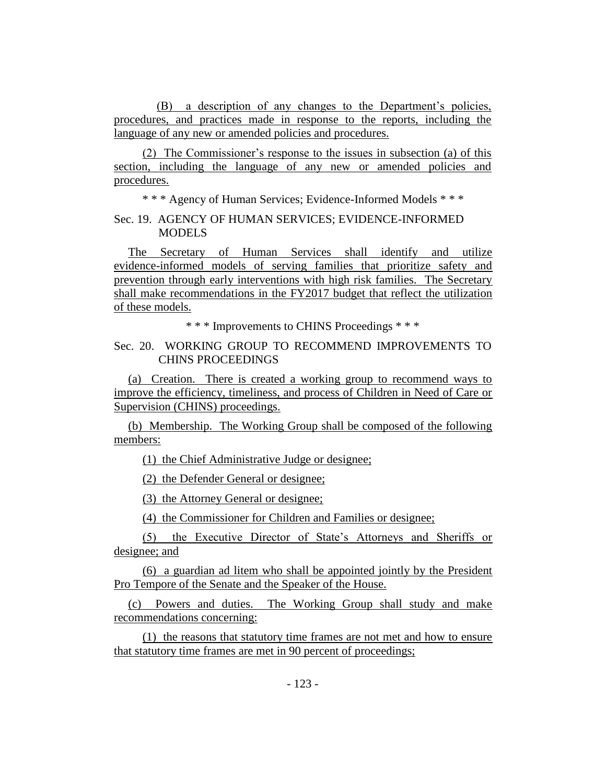(B) a description of any changes to the Department's policies, procedures, and practices made in response to the reports, including the language of any new or amended policies and procedures.

(2) The Commissioner's response to the issues in subsection (a) of this section, including the language of any new or amended policies and procedures.

\* \* \* Agency of Human Services; Evidence-Informed Models \* \* \*

Sec. 19. AGENCY OF HUMAN SERVICES; EVIDENCE-INFORMED MODELS

The Secretary of Human Services shall identify and utilize evidence-informed models of serving families that prioritize safety and prevention through early interventions with high risk families. The Secretary shall make recommendations in the FY2017 budget that reflect the utilization of these models.

\* \* \* Improvements to CHINS Proceedings \* \* \*

# Sec. 20. WORKING GROUP TO RECOMMEND IMPROVEMENTS TO CHINS PROCEEDINGS

(a) Creation. There is created a working group to recommend ways to improve the efficiency, timeliness, and process of Children in Need of Care or Supervision (CHINS) proceedings.

(b) Membership. The Working Group shall be composed of the following members:

(1) the Chief Administrative Judge or designee;

(2) the Defender General or designee;

(3) the Attorney General or designee;

(4) the Commissioner for Children and Families or designee;

(5) the Executive Director of State's Attorneys and Sheriffs or designee; and

(6) a guardian ad litem who shall be appointed jointly by the President Pro Tempore of the Senate and the Speaker of the House.

(c) Powers and duties. The Working Group shall study and make recommendations concerning:

(1) the reasons that statutory time frames are not met and how to ensure that statutory time frames are met in 90 percent of proceedings;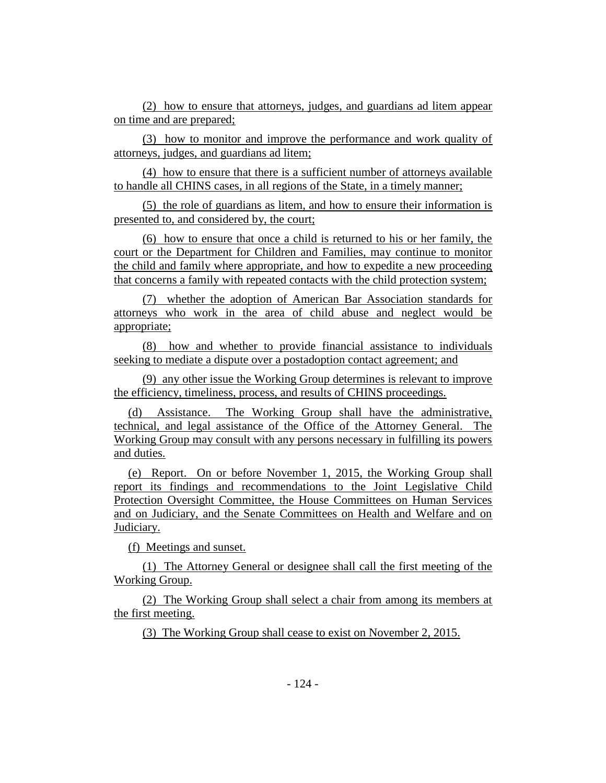(2) how to ensure that attorneys, judges, and guardians ad litem appear on time and are prepared;

(3) how to monitor and improve the performance and work quality of attorneys, judges, and guardians ad litem;

(4) how to ensure that there is a sufficient number of attorneys available to handle all CHINS cases, in all regions of the State, in a timely manner;

(5) the role of guardians as litem, and how to ensure their information is presented to, and considered by, the court;

(6) how to ensure that once a child is returned to his or her family, the court or the Department for Children and Families, may continue to monitor the child and family where appropriate, and how to expedite a new proceeding that concerns a family with repeated contacts with the child protection system;

(7) whether the adoption of American Bar Association standards for attorneys who work in the area of child abuse and neglect would be appropriate;

(8) how and whether to provide financial assistance to individuals seeking to mediate a dispute over a postadoption contact agreement; and

(9) any other issue the Working Group determines is relevant to improve the efficiency, timeliness, process, and results of CHINS proceedings.

(d) Assistance. The Working Group shall have the administrative, technical, and legal assistance of the Office of the Attorney General. The Working Group may consult with any persons necessary in fulfilling its powers and duties.

(e) Report. On or before November 1, 2015, the Working Group shall report its findings and recommendations to the Joint Legislative Child Protection Oversight Committee, the House Committees on Human Services and on Judiciary, and the Senate Committees on Health and Welfare and on Judiciary.

(f) Meetings and sunset.

(1) The Attorney General or designee shall call the first meeting of the Working Group.

(2) The Working Group shall select a chair from among its members at the first meeting.

(3) The Working Group shall cease to exist on November 2, 2015.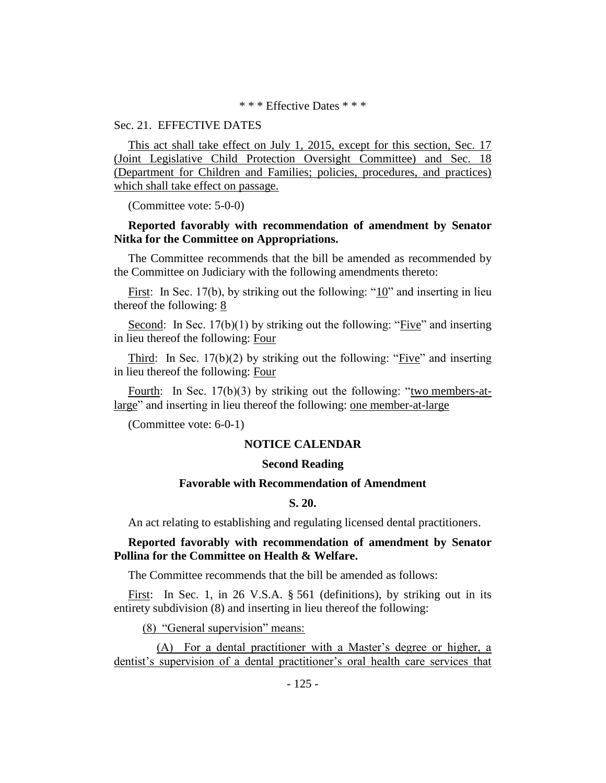### \* \* \* Effective Dates \* \* \*

# Sec. 21. EFFECTIVE DATES

This act shall take effect on July 1, 2015, except for this section, Sec. 17 (Joint Legislative Child Protection Oversight Committee) and Sec. 18 (Department for Children and Families; policies, procedures, and practices) which shall take effect on passage.

(Committee vote: 5-0-0)

# **Reported favorably with recommendation of amendment by Senator Nitka for the Committee on Appropriations.**

The Committee recommends that the bill be amended as recommended by the Committee on Judiciary with the following amendments thereto:

First: In Sec. 17(b), by striking out the following: "10" and inserting in lieu thereof the following: 8

Second: In Sec. 17(b)(1) by striking out the following: "Five" and inserting in lieu thereof the following: Four

Third: In Sec.  $17(b)(2)$  by striking out the following: "Five" and inserting in lieu thereof the following: Four

Fourth: In Sec. 17(b)(3) by striking out the following: "two members-atlarge" and inserting in lieu thereof the following: one member-at-large

(Committee vote: 6-0-1)

# **NOTICE CALENDAR**

## **Second Reading**

# **Favorable with Recommendation of Amendment**

# **S. 20.**

An act relating to establishing and regulating licensed dental practitioners.

# **Reported favorably with recommendation of amendment by Senator Pollina for the Committee on Health & Welfare.**

The Committee recommends that the bill be amended as follows:

First: In Sec. 1, in 26 V.S.A. § 561 (definitions), by striking out in its entirety subdivision (8) and inserting in lieu thereof the following:

(8) "General supervision" means:

(A) For a dental practitioner with a Master's degree or higher, a dentist's supervision of a dental practitioner's oral health care services that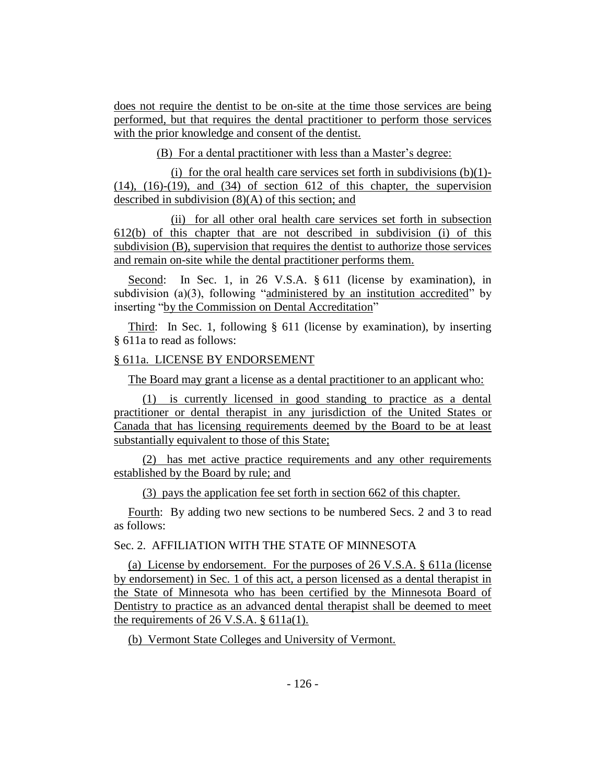does not require the dentist to be on-site at the time those services are being performed, but that requires the dental practitioner to perform those services with the prior knowledge and consent of the dentist.

(B) For a dental practitioner with less than a Master's degree:

(i) for the oral health care services set forth in subdivisions  $(b)(1)$ - $(14)$ ,  $(16)-(19)$ , and  $(34)$  of section 612 of this chapter, the supervision described in subdivision (8)(A) of this section; and

(ii) for all other oral health care services set forth in subsection 612(b) of this chapter that are not described in subdivision (i) of this subdivision (B), supervision that requires the dentist to authorize those services and remain on-site while the dental practitioner performs them.

Second: In Sec. 1, in 26 V.S.A. § 611 (license by examination), in subdivision (a)(3), following "administered by an institution accredited" by inserting "by the Commission on Dental Accreditation"

Third: In Sec. 1, following § 611 (license by examination), by inserting § 611a to read as follows:

# § 611a. LICENSE BY ENDORSEMENT

The Board may grant a license as a dental practitioner to an applicant who:

(1) is currently licensed in good standing to practice as a dental practitioner or dental therapist in any jurisdiction of the United States or Canada that has licensing requirements deemed by the Board to be at least substantially equivalent to those of this State;

(2) has met active practice requirements and any other requirements established by the Board by rule; and

(3) pays the application fee set forth in section 662 of this chapter.

Fourth: By adding two new sections to be numbered Secs. 2 and 3 to read as follows:

# Sec. 2. AFFILIATION WITH THE STATE OF MINNESOTA

(a) License by endorsement. For the purposes of 26 V.S.A. § 611a (license by endorsement) in Sec. 1 of this act, a person licensed as a dental therapist in the State of Minnesota who has been certified by the Minnesota Board of Dentistry to practice as an advanced dental therapist shall be deemed to meet the requirements of 26 V.S.A. § 611a(1).

(b) Vermont State Colleges and University of Vermont.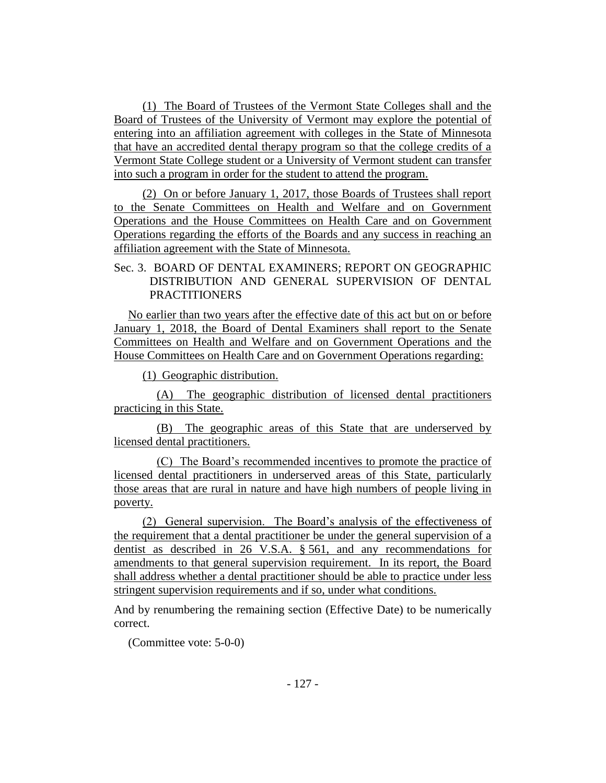(1) The Board of Trustees of the Vermont State Colleges shall and the Board of Trustees of the University of Vermont may explore the potential of entering into an affiliation agreement with colleges in the State of Minnesota that have an accredited dental therapy program so that the college credits of a Vermont State College student or a University of Vermont student can transfer into such a program in order for the student to attend the program.

(2) On or before January 1, 2017, those Boards of Trustees shall report to the Senate Committees on Health and Welfare and on Government Operations and the House Committees on Health Care and on Government Operations regarding the efforts of the Boards and any success in reaching an affiliation agreement with the State of Minnesota.

# Sec. 3. BOARD OF DENTAL EXAMINERS; REPORT ON GEOGRAPHIC DISTRIBUTION AND GENERAL SUPERVISION OF DENTAL **PRACTITIONERS**

No earlier than two years after the effective date of this act but on or before January 1, 2018, the Board of Dental Examiners shall report to the Senate Committees on Health and Welfare and on Government Operations and the House Committees on Health Care and on Government Operations regarding:

(1) Geographic distribution.

(A) The geographic distribution of licensed dental practitioners practicing in this State.

(B) The geographic areas of this State that are underserved by licensed dental practitioners.

(C) The Board's recommended incentives to promote the practice of licensed dental practitioners in underserved areas of this State, particularly those areas that are rural in nature and have high numbers of people living in poverty.

(2) General supervision. The Board's analysis of the effectiveness of the requirement that a dental practitioner be under the general supervision of a dentist as described in 26 V.S.A. § 561, and any recommendations for amendments to that general supervision requirement. In its report, the Board shall address whether a dental practitioner should be able to practice under less stringent supervision requirements and if so, under what conditions.

And by renumbering the remaining section (Effective Date) to be numerically correct.

(Committee vote: 5-0-0)